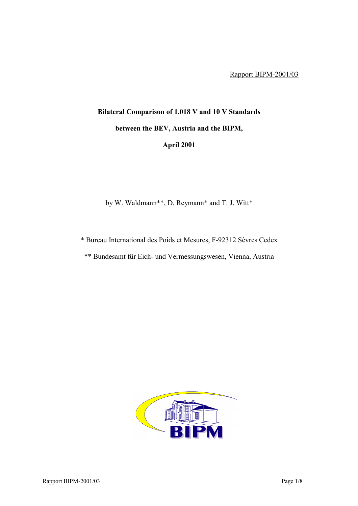## **Bilateral Comparison of 1.018 V and 10 V Standards between the BEV, Austria and the BIPM, April 2001**

by W. Waldmann\*\*, D. Reymann\* and T. J. Witt\*

\* Bureau International des Poids et Mesures, F-92312 SËvres Cedex

\*\* Bundesamt für Eich- und Vermessungswesen, Vienna, Austria

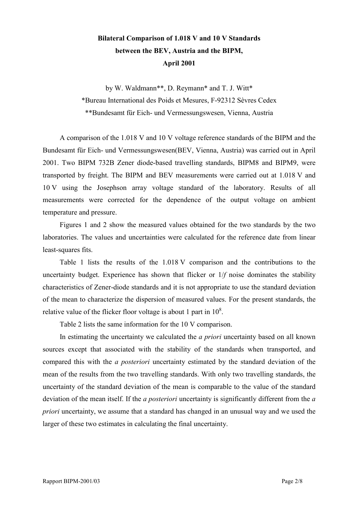## **Bilateral Comparison of 1.018 V and 10 V Standards between the BEV, Austria and the BIPM, April 2001**

by W. Waldmann\*\*, D. Reymann\* and T. J. Witt\* \*Bureau International des Poids et Mesures, F-92312 SËvres Cedex \*\*Bundesamt für Eich- und Vermessungswesen, Vienna, Austria

A comparison of the 1.018 V and 10 V voltage reference standards of the BIPM and the Bundesamt für Eich- und Vermessungswesen(BEV, Vienna, Austria) was carried out in April 2001. Two BIPM 732B Zener diode-based travelling standards, BIPM8 and BIPM9, were transported by freight. The BIPM and BEV measurements were carried out at 1.018 V and 10 V using the Josephson array voltage standard of the laboratory. Results of all measurements were corrected for the dependence of the output voltage on ambient temperature and pressure.

Figures 1 and 2 show the measured values obtained for the two standards by the two laboratories. The values and uncertainties were calculated for the reference date from linear least-squares fits.

Table 1 lists the results of the 1.018 V comparison and the contributions to the uncertainty budget. Experience has shown that flicker or 1/*f* noise dominates the stability characteristics of Zener-diode standards and it is not appropriate to use the standard deviation of the mean to characterize the dispersion of measured values. For the present standards, the relative value of the flicker floor voltage is about 1 part in  $10^8$ .

Table 2 lists the same information for the 10 V comparison.

In estimating the uncertainty we calculated the *a priori* uncertainty based on all known sources except that associated with the stability of the standards when transported, and compared this with the *a posteriori* uncertainty estimated by the standard deviation of the mean of the results from the two travelling standards. With only two travelling standards, the uncertainty of the standard deviation of the mean is comparable to the value of the standard deviation of the mean itself. If the *a posteriori* uncertainty is significantly different from the *a priori* uncertainty, we assume that a standard has changed in an unusual way and we used the larger of these two estimates in calculating the final uncertainty.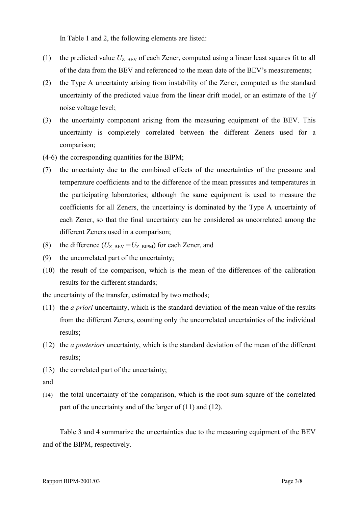In Table 1 and 2, the following elements are listed:

- (1) the predicted value  $U_{Z|BEV}$  of each Zener, computed using a linear least squares fit to all of the data from the BEV and referenced to the mean date of the BEV's measurements;
- (2) the Type A uncertainty arising from instability of the Zener, computed as the standard uncertainty of the predicted value from the linear drift model, or an estimate of the 1/*f* noise voltage level;
- (3) the uncertainty component arising from the measuring equipment of the BEV. This uncertainty is completely correlated between the different Zeners used for a comparison;
- (4-6) the corresponding quantities for the BIPM;
- (7) the uncertainty due to the combined effects of the uncertainties of the pressure and temperature coefficients and to the difference of the mean pressures and temperatures in the participating laboratories; although the same equipment is used to measure the coefficients for all Zeners, the uncertainty is dominated by the Type A uncertainty of each Zener, so that the final uncertainty can be considered as uncorrelated among the different Zeners used in a comparison;
- (8) the difference  $(U_{Z\text{ BEV}} U_{Z\text{ BIPM}})$  for each Zener, and
- (9) the uncorrelated part of the uncertainty;
- (10) the result of the comparison, which is the mean of the differences of the calibration results for the different standards;

the uncertainty of the transfer, estimated by two methods;

- (11) the *a priori* uncertainty, which is the standard deviation of the mean value of the results from the different Zeners, counting only the uncorrelated uncertainties of the individual results;
- (12) the *a posteriori* uncertainty, which is the standard deviation of the mean of the different results;
- (13) the correlated part of the uncertainty;
- and
- (14) the total uncertainty of the comparison, which is the root-sum-square of the correlated part of the uncertainty and of the larger of (11) and (12).

Table 3 and 4 summarize the uncertainties due to the measuring equipment of the BEV and of the BIPM, respectively.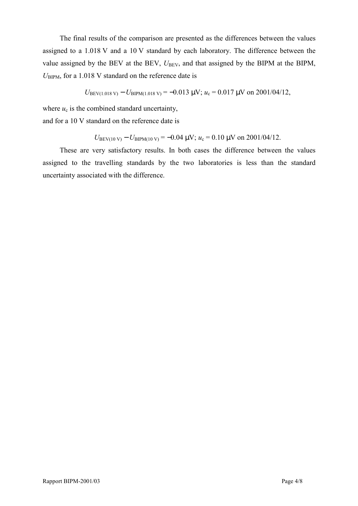The final results of the comparison are presented as the differences between the values assigned to a 1.018 V and a 10 V standard by each laboratory. The difference between the value assigned by the BEV at the BEV,  $U_{BEV}$ , and that assigned by the BIPM at the BIPM,  $U_{\text{BIPM}}$ , for a 1.018 V standard on the reference date is

$$
U_{\text{BEV}(1.018 \text{ V})} - U_{\text{BIPM}(1.018 \text{ V})} = -0.013 \text{ }\mu\text{V}; u_c = 0.017 \text{ }\mu\text{V} \text{ on } 2001/04/12,
$$

where  $u_c$  is the combined standard uncertainty,

and for a 10 V standard on the reference date is

$$
U_{\text{BEV}(10\text{ V})} - U_{\text{BIPM}(10\text{ V})} = -0.04 \text{ }\mu\text{V}; u_c = 0.10 \text{ }\mu\text{V} \text{ on } 2001/04/12.
$$

These are very satisfactory results. In both cases the difference between the values assigned to the travelling standards by the two laboratories is less than the standard uncertainty associated with the difference.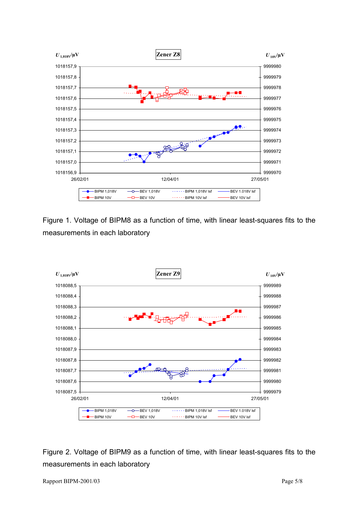

Figure 1. Voltage of BIPM8 as a function of time, with linear least-squares fits to the measurements in each laboratory



Figure 2. Voltage of BIPM9 as a function of time, with linear least-squares fits to the measurements in each laboratory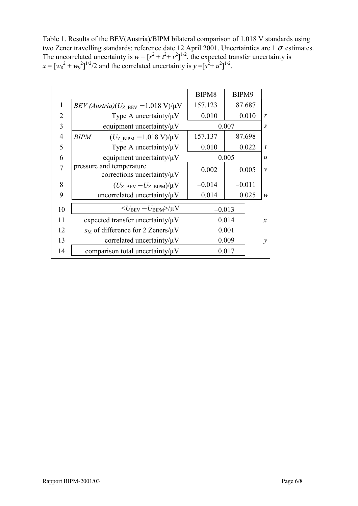Table 1. Results of the BEV(Austria)/BIPM bilateral comparison of 1.018 V standards using two Zener travelling standards: reference date 12 April 2001. Uncertainties are 1  $\sigma$  estimates. The uncorrelated uncertainty is  $w = [r^2 + t^2 + v^2]^{1/2}$ , the expected transfer uncertainty is  $x = [w_8^2 + w_9^2]^{1/2}/2$  and the correlated uncertainty is  $y = [s^2 + u^2]^{1/2}$ .

|                |                                                                    | BIPM8    | BIPM9    |                  |
|----------------|--------------------------------------------------------------------|----------|----------|------------------|
| $\mathbf{1}$   | $BEV (Austria)(UZ BEV - 1.018 V)/\mu V$                            | 157.123  | 87.687   |                  |
| 2              | Type A uncertainty/ $\mu$ V                                        | 0.010    | 0.010    | $\mathbf{r}$     |
| 3              | equipment uncertainty/ $\mu$ V                                     | 0.007    |          | $\overline{S}$   |
| $\overline{4}$ | $(U_{Z\text{ BIPM}} - 1.018 \text{ V})/\mu\text{V}$<br><b>BIPM</b> | 157.137  | 87.698   |                  |
| 5              | Type A uncertainty/ $\mu$ V                                        | 0.010    | 0.022    | $\boldsymbol{t}$ |
| 6              | equipment uncertainty/ $\mu$ V                                     |          | 0.005    | $\boldsymbol{u}$ |
|                | pressure and temperature<br>corrections uncertainty/ $\mu$ V       | 0.002    | 0.005    | $\mathcal{V}$    |
| 8              | $(U_{Z\text{ BEV}} - U_{Z\text{ BIPM}})/\mu V$                     | $-0.014$ | $-0.011$ |                  |
| 9              | uncorrelated uncertainty/ $\mu$ V                                  | 0.014    | 0.025    | $\mathcal W$     |
| 10             | $U_{\rm BEV} - U_{\rm BIPM}$ $>$ / $\mu$ V                         | $-0.013$ |          |                  |
| 11             | expected transfer uncertainty/ $\mu$ V                             |          | 0.014    | $\mathcal{X}$    |
| 12             | $s_M$ of difference for 2 Zeners/ $\mu$ V                          |          | 0.001    |                  |
| 13             | correlated uncertainty/ $\mu$ V                                    |          | 0.009    | $\mathcal{Y}$    |
| 14             | comparison total uncertainty/ $\mu$ V                              |          | 0.017    |                  |
|                |                                                                    |          |          |                  |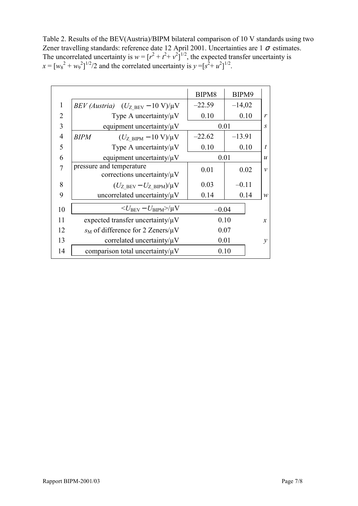Table 2. Results of the BEV(Austria)/BIPM bilateral comparison of 10 V standards using two Zener travelling standards: reference date 12 April 2001. Uncertainties are 1  $\sigma$  estimates. The uncorrelated uncertainty is  $w = [r^2 + t^2 + v^2]^{1/2}$ , the expected transfer uncertainty is  $x = [w_8^2 + w_9^2]^{1/2}/2$  and the correlated uncertainty is  $y = [s^2 + u^2]^{1/2}$ .

|                |                                                                 | BIPM8    | BIPM9    |                  |
|----------------|-----------------------------------------------------------------|----------|----------|------------------|
| 1              | BEV (Austria) $(U_{Z \text{ BEV}} - 10 \text{ V})/\mu\text{V}$  | $-22.59$ | $-14,02$ |                  |
| $\overline{2}$ | Type A uncertainty/ $\mu$ V                                     | 0.10     | 0.10     | $\mathbf{r}$     |
| 3              | equipment uncertainty/ $\mu$ V                                  | 0.01     |          | $\boldsymbol{S}$ |
| $\overline{4}$ | <b>BIPM</b><br>$(U_{Z\text{ BIPM}} - 10 \text{ V})/\mu\text{V}$ | $-22.62$ | $-13.91$ |                  |
| 5              | Type A uncertainty/ $\mu$ V                                     | 0.10     | 0.10     | $\boldsymbol{t}$ |
| 6              | equipment uncertainty/ $\mu$ V                                  | 0.01     |          | $\boldsymbol{u}$ |
| 7              | pressure and temperature<br>corrections uncertainty/ $\mu$ V    | 0.01     | 0.02     | $\mathcal{V}$    |
| 8              | $(U_{Z\,BEV} - U_{Z\,BIPM})/\mu V$                              | 0.03     | $-0.11$  |                  |
| 9              | uncorrelated uncertainty/ $\mu$ V                               | 0.14     | 0.14     | $\mathcal W$     |
| 10             | $\langle U_{\rm BEV} - U_{\rm BIPM} \rangle / \mu V$            | $-0.04$  |          |                  |
| 11             | expected transfer uncertainty/ $\mu$ V                          | 0.10     |          | $\mathcal{X}$    |
| 12             | $s_M$ of difference for 2 Zeners/ $\mu$ V                       | 0.07     |          |                  |
| 13             | correlated uncertainty/ $\mu$ V                                 | 0.01     |          | $\mathcal{Y}$    |
| 14             | comparison total uncertainty/ $\mu$ V                           |          | 0.10     |                  |
|                |                                                                 |          |          |                  |